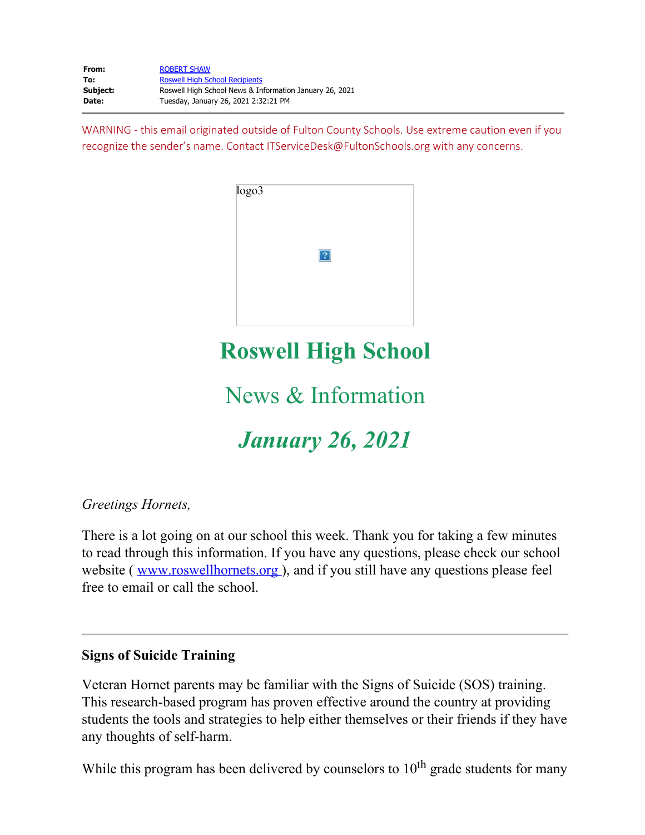| From:    | <b>ROBERT SHAW</b>                                      |
|----------|---------------------------------------------------------|
| To:      | <b>Roswell High School Recipients</b>                   |
| Subject: | Roswell High School News & Information January 26, 2021 |
| Date:    | Tuesday, January 26, 2021 2:32:21 PM                    |

WARNING - this email originated outside of Fulton County Schools. Use extreme caution even if you recognize the sender's name. Contact ITServiceDesk@FultonSchools.org with any concerns.



## **Roswell High School**

## News & Information

# *January 26, 2021*

#### *Greetings Hornets,*

There is a lot going on at our school this week. Thank you for taking a few minutes to read through this information. If you have any questions, please check our school website ( [www.roswellhornets.org](https://nam11.safelinks.protection.outlook.com/?url=http%3A%2F%2Fwww.roswellhornets.org%2F&data=04%7C01%7Cmurphys%40fultonschools.org%7Cbded10d93f2a43f9547608d8c2311751%7C0cdcb19881694b70ba9fda7e3ba700c2%7C1%7C0%7C637472863408644799%7CUnknown%7CTWFpbGZsb3d8eyJWIjoiMC4wLjAwMDAiLCJQIjoiV2luMzIiLCJBTiI6Ik1haWwiLCJXVCI6Mn0%3D%7C1000&sdata=XmQ40QACnOKIzYTr%2B7TiBuCtf%2B8A9dbvqwl1bx9wxtc%3D&reserved=0)), and if you still have any questions please feel free to email or call the school.

#### **Signs of Suicide Training**

Veteran Hornet parents may be familiar with the Signs of Suicide (SOS) training. This research-based program has proven effective around the country at providing students the tools and strategies to help either themselves or their friends if they have any thoughts of self-harm.

While this program has been delivered by counselors to  $10<sup>th</sup>$  grade students for many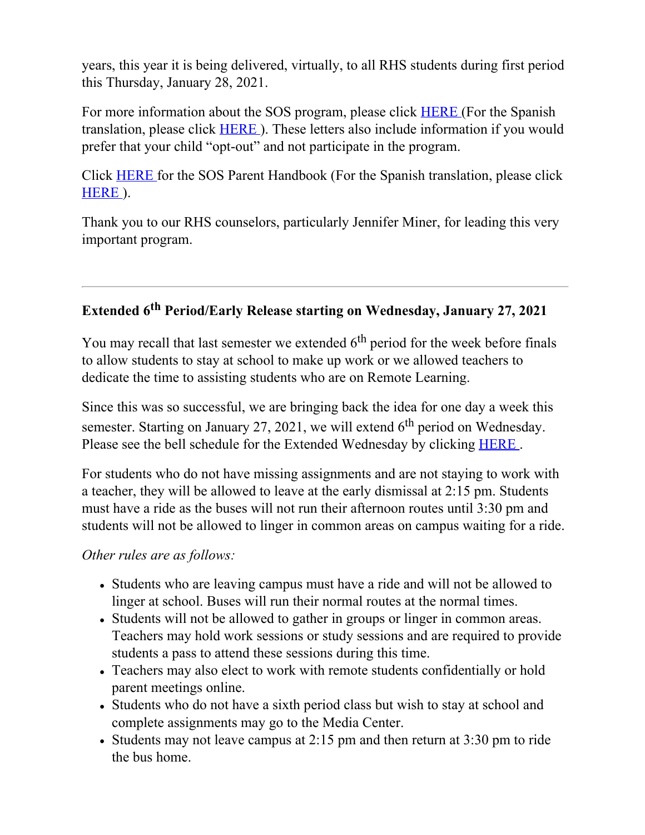years, this year it is being delivered, virtually, to all RHS students during first period this Thursday, January 28, 2021.

For more information about the SOS program, please click **[HERE](https://nam11.safelinks.protection.outlook.com/?url=http%3A%2F%2Fnew.shawadmin.com%2FRoswell%2FPublic%2FSOSParentLetterEnglish2020.pdf&data=04%7C01%7Cmurphys%40fultonschools.org%7Cbded10d93f2a43f9547608d8c2311751%7C0cdcb19881694b70ba9fda7e3ba700c2%7C1%7C0%7C637472863408654799%7CUnknown%7CTWFpbGZsb3d8eyJWIjoiMC4wLjAwMDAiLCJQIjoiV2luMzIiLCJBTiI6Ik1haWwiLCJXVCI6Mn0%3D%7C1000&sdata=%2F1biLjAtCUKYP38I6harZPzmyUVTZjb7vfE1gxHNOI0%3D&reserved=0)** (For the Spanish translation, please click [HERE](https://nam11.safelinks.protection.outlook.com/?url=http%3A%2F%2Fnew.shawadmin.com%2FRoswell%2FPublic%2FSOSParentLetterSpanish2020.pdf&data=04%7C01%7Cmurphys%40fultonschools.org%7Cbded10d93f2a43f9547608d8c2311751%7C0cdcb19881694b70ba9fda7e3ba700c2%7C1%7C0%7C637472863408654799%7CUnknown%7CTWFpbGZsb3d8eyJWIjoiMC4wLjAwMDAiLCJQIjoiV2luMzIiLCJBTiI6Ik1haWwiLCJXVCI6Mn0%3D%7C1000&sdata=wjmHY3wYAcMCex0aVGwoXwU3GKxZVAfPvmFmEO8YSCk%3D&reserved=0) ). These letters also include information if you would prefer that your child "opt-out" and not participate in the program.

Click [HERE](https://nam11.safelinks.protection.outlook.com/?url=http%3A%2F%2Fnew.shawadmin.com%2FRoswell%2FPublic%2FSOSACTParentHandout2020.pdf&data=04%7C01%7Cmurphys%40fultonschools.org%7Cbded10d93f2a43f9547608d8c2311751%7C0cdcb19881694b70ba9fda7e3ba700c2%7C1%7C0%7C637472863408664792%7CUnknown%7CTWFpbGZsb3d8eyJWIjoiMC4wLjAwMDAiLCJQIjoiV2luMzIiLCJBTiI6Ik1haWwiLCJXVCI6Mn0%3D%7C1000&sdata=KVIeSTMYKknJwiNsHUivEokP9Vnjjn3TRrZRZ9nMCSo%3D&reserved=0) for the SOS Parent Handbook (For the Spanish translation, please click [HERE](https://nam11.safelinks.protection.outlook.com/?url=http%3A%2F%2Fnew.shawadmin.com%2FRoswell%2FPublic%2FSOSACTParentHandoutSpanish2020.pdf&data=04%7C01%7Cmurphys%40fultonschools.org%7Cbded10d93f2a43f9547608d8c2311751%7C0cdcb19881694b70ba9fda7e3ba700c2%7C1%7C0%7C637472863408664792%7CUnknown%7CTWFpbGZsb3d8eyJWIjoiMC4wLjAwMDAiLCJQIjoiV2luMzIiLCJBTiI6Ik1haWwiLCJXVCI6Mn0%3D%7C1000&sdata=5yzhRtWFVD7VF%2Bh3c7TcH17dVWiWLkC9fBwQSaog0Oc%3D&reserved=0) ).

Thank you to our RHS counselors, particularly Jennifer Miner, for leading this very important program.

### **Extended 6th Period/Early Release starting on Wednesday, January 27, 2021**

You may recall that last semester we extended  $6<sup>th</sup>$  period for the week before finals to allow students to stay at school to make up work or we allowed teachers to dedicate the time to assisting students who are on Remote Learning.

Since this was so successful, we are bringing back the idea for one day a week this semester. Starting on January 27, 2021, we will extend  $6<sup>th</sup>$  period on Wednesday. Please see the bell schedule for the Extended Wednesday by clicking [HERE](https://nam11.safelinks.protection.outlook.com/?url=http%3A%2F%2Fnew.shawadmin.com%2FRoswell%2FPublic%2Fbellschedules.pdf&data=04%7C01%7Cmurphys%40fultonschools.org%7Cbded10d93f2a43f9547608d8c2311751%7C0cdcb19881694b70ba9fda7e3ba700c2%7C1%7C0%7C637472863408674782%7CUnknown%7CTWFpbGZsb3d8eyJWIjoiMC4wLjAwMDAiLCJQIjoiV2luMzIiLCJBTiI6Ik1haWwiLCJXVCI6Mn0%3D%7C1000&sdata=vAYAv7YTa6x0Gc%2F3nEUAYMOyYbPNawzspLpeHdlSmgo%3D&reserved=0).

For students who do not have missing assignments and are not staying to work with a teacher, they will be allowed to leave at the early dismissal at 2:15 pm. Students must have a ride as the buses will not run their afternoon routes until 3:30 pm and students will not be allowed to linger in common areas on campus waiting for a ride.

*Other rules are as follows:*

- Students who are leaving campus must have a ride and will not be allowed to linger at school. Buses will run their normal routes at the normal times.
- Students will not be allowed to gather in groups or linger in common areas. Teachers may hold work sessions or study sessions and are required to provide students a pass to attend these sessions during this time.
- Teachers may also elect to work with remote students confidentially or hold parent meetings online.
- Students who do not have a sixth period class but wish to stay at school and complete assignments may go to the Media Center.
- Students may not leave campus at 2:15 pm and then return at 3:30 pm to ride the bus home.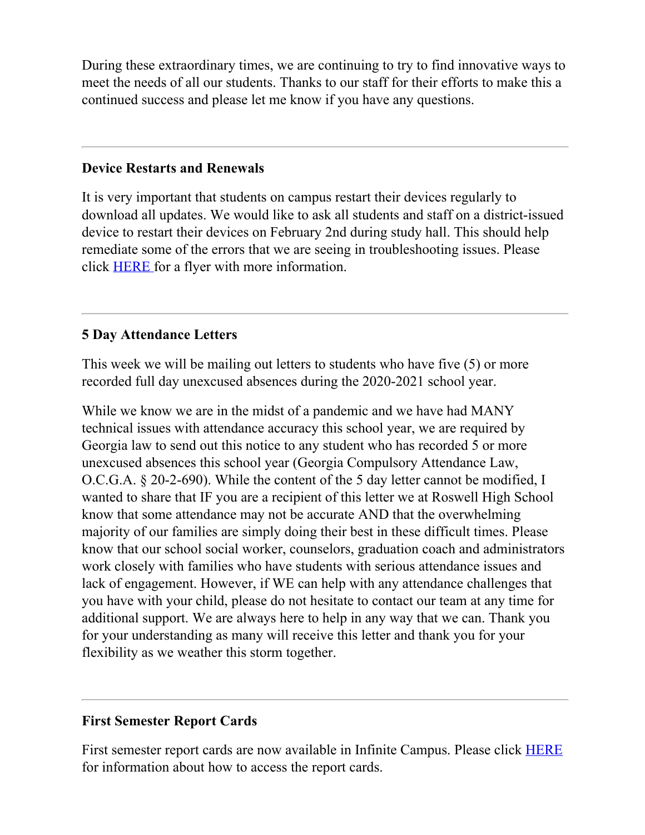During these extraordinary times, we are continuing to try to find innovative ways to meet the needs of all our students. Thanks to our staff for their efforts to make this a continued success and please let me know if you have any questions.

#### **Device Restarts and Renewals**

It is very important that students on campus restart their devices regularly to download all updates. We would like to ask all students and staff on a district-issued device to restart their devices on February 2nd during study hall. This should help remediate some of the errors that we are seeing in troubleshooting issues. Please click [HERE](https://nam11.safelinks.protection.outlook.com/?url=http%3A%2F%2Fnew.shawadmin.com%2FRoswell%2FPublic%2Frestart.pdf&data=04%7C01%7Cmurphys%40fultonschools.org%7Cbded10d93f2a43f9547608d8c2311751%7C0cdcb19881694b70ba9fda7e3ba700c2%7C1%7C0%7C637472863408674782%7CUnknown%7CTWFpbGZsb3d8eyJWIjoiMC4wLjAwMDAiLCJQIjoiV2luMzIiLCJBTiI6Ik1haWwiLCJXVCI6Mn0%3D%7C1000&sdata=JEBTepvJboPa1hzlZgSKoNDYsO1nQ3dlRGb7ZdpKH1A%3D&reserved=0) for a flyer with more information.

#### **5 Day Attendance Letters**

This week we will be mailing out letters to students who have five (5) or more recorded full day unexcused absences during the 2020-2021 school year.

While we know we are in the midst of a pandemic and we have had MANY technical issues with attendance accuracy this school year, we are required by Georgia law to send out this notice to any student who has recorded 5 or more unexcused absences this school year (Georgia Compulsory Attendance Law, O.C.G.A. § 20-2-690). While the content of the 5 day letter cannot be modified, I wanted to share that IF you are a recipient of this letter we at Roswell High School know that some attendance may not be accurate AND that the overwhelming majority of our families are simply doing their best in these difficult times. Please know that our school social worker, counselors, graduation coach and administrators work closely with families who have students with serious attendance issues and lack of engagement. However, if WE can help with any attendance challenges that you have with your child, please do not hesitate to contact our team at any time for additional support. We are always here to help in any way that we can. Thank you for your understanding as many will receive this letter and thank you for your flexibility as we weather this storm together.

#### **First Semester Report Cards**

First semester report cards are now available in Infinite Campus. Please click **[HERE](https://www.fultonschools.org/cms/lib/GA50000114/Centricity/Domain/3766/FCSIC_CP_HowTo_Access_Reports_instructions.pdf)** for information about how to access the report cards.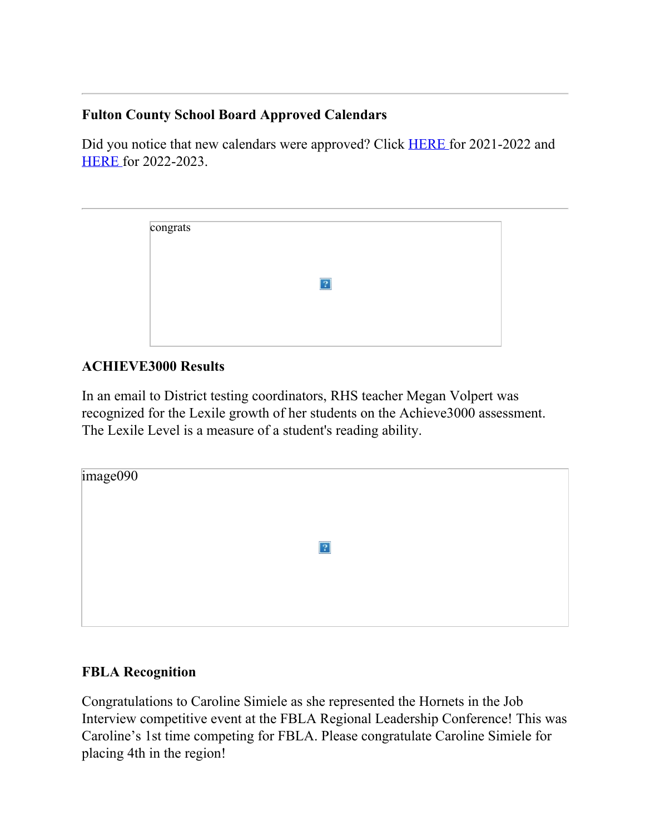#### **Fulton County School Board Approved Calendars**

Did you notice that new calendars were approved? Click **[HERE](https://nam11.safelinks.protection.outlook.com/?url=https%3A%2F%2Fgo.boarddocs.com%2Fga%2Ffcss%2FBoard.nsf%2Ffiles%2FBVWL6J5247CF%2F%24file%2F2021-2022%2520School%2520Calendar%2520proposed%2520.pdf&data=04%7C01%7Cmurphys%40fultonschools.org%7Cbded10d93f2a43f9547608d8c2311751%7C0cdcb19881694b70ba9fda7e3ba700c2%7C1%7C0%7C637472863408684778%7CUnknown%7CTWFpbGZsb3d8eyJWIjoiMC4wLjAwMDAiLCJQIjoiV2luMzIiLCJBTiI6Ik1haWwiLCJXVCI6Mn0%3D%7C1000&sdata=iPC%2BeznXfJRQ3s2XDOa%2ByNzCL9rD4A97fipJf8jjRg0%3D&reserved=0)** for 2021-2022 and [HERE](https://nam11.safelinks.protection.outlook.com/?url=https%3A%2F%2Fgo.boarddocs.com%2Fga%2Ffcss%2FBoard.nsf%2Ffiles%2FBVWL6M5247D0%2F%24file%2F2022-2023%2520School%2520Calendar%2520proposed%2520.pdf&data=04%7C01%7Cmurphys%40fultonschools.org%7Cbded10d93f2a43f9547608d8c2311751%7C0cdcb19881694b70ba9fda7e3ba700c2%7C1%7C0%7C637472863408684778%7CUnknown%7CTWFpbGZsb3d8eyJWIjoiMC4wLjAwMDAiLCJQIjoiV2luMzIiLCJBTiI6Ik1haWwiLCJXVCI6Mn0%3D%7C1000&sdata=Zyc5GeOeBz%2BS0%2BmsK6IEu3EWDPH60v1o3pf5OiMYPcA%3D&reserved=0) for 2022-2023.

| congrats |   |  |
|----------|---|--|
|          |   |  |
|          | x |  |
|          |   |  |
|          |   |  |
|          |   |  |

#### **ACHIEVE3000 Results**

In an email to District testing coordinators, RHS teacher Megan Volpert was recognized for the Lexile growth of her students on the Achieve3000 assessment. The Lexile Level is a measure of a student's reading ability.

| image090 |                |  |
|----------|----------------|--|
|          | $\overline{?}$ |  |
|          |                |  |

#### **FBLA Recognition**

Congratulations to Caroline Simiele as she represented the Hornets in the Job Interview competitive event at the FBLA Regional Leadership Conference! This was Caroline's 1st time competing for FBLA. Please congratulate Caroline Simiele for placing 4th in the region!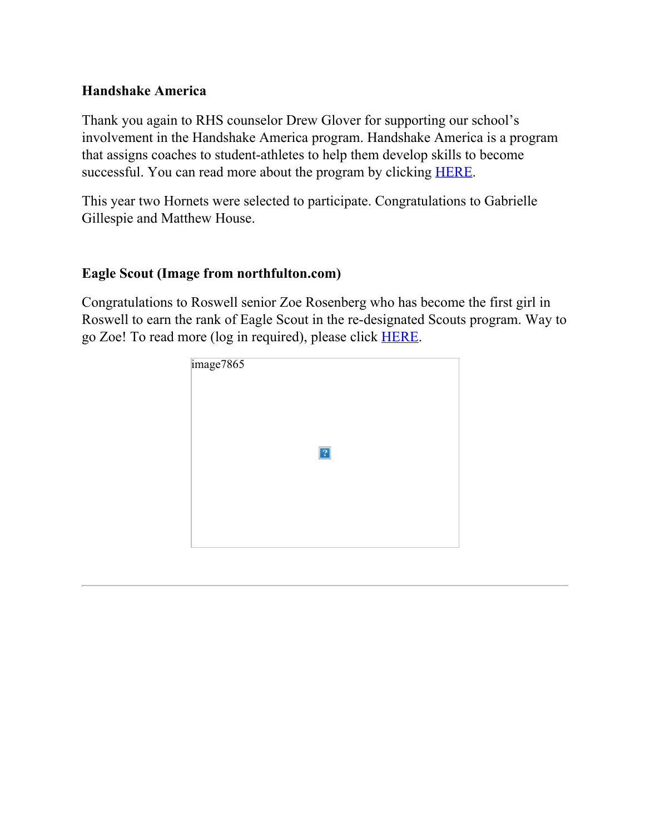#### **Handshake America**

Thank you again to RHS counselor Drew Glover for supporting our school's involvement in the Handshake America program. Handshake America is a program that assigns coaches to student-athletes to help them develop skills to become successful. You can read more about the program by clicking [HERE](https://nam11.safelinks.protection.outlook.com/?url=https%3A%2F%2Fwww.handshakeamerica.org%2F&data=04%7C01%7Cmurphys%40fultonschools.org%7Cbded10d93f2a43f9547608d8c2311751%7C0cdcb19881694b70ba9fda7e3ba700c2%7C1%7C0%7C637472863408694767%7CUnknown%7CTWFpbGZsb3d8eyJWIjoiMC4wLjAwMDAiLCJQIjoiV2luMzIiLCJBTiI6Ik1haWwiLCJXVCI6Mn0%3D%7C1000&sdata=8xjNAt1ueTMgWpWpHnLB4opaGJv%2B52qkSIIQOUb5LXA%3D&reserved=0).

This year two Hornets were selected to participate. Congratulations to Gabrielle Gillespie and Matthew House.

#### **Eagle Scout (Image from northfulton.com)**

Congratulations to Roswell senior Zoe Rosenberg who has become the first girl in Roswell to earn the rank of Eagle Scout in the re-designated Scouts program. Way to go Zoe! To read more (log in required), please click [HERE](https://nam11.safelinks.protection.outlook.com/?url=https%3A%2F%2Fwww.handshakeamerica.org%2F&data=04%7C01%7Cmurphys%40fultonschools.org%7Cbded10d93f2a43f9547608d8c2311751%7C0cdcb19881694b70ba9fda7e3ba700c2%7C1%7C0%7C637472863408694767%7CUnknown%7CTWFpbGZsb3d8eyJWIjoiMC4wLjAwMDAiLCJQIjoiV2luMzIiLCJBTiI6Ik1haWwiLCJXVCI6Mn0%3D%7C1000&sdata=8xjNAt1ueTMgWpWpHnLB4opaGJv%2B52qkSIIQOUb5LXA%3D&reserved=0).

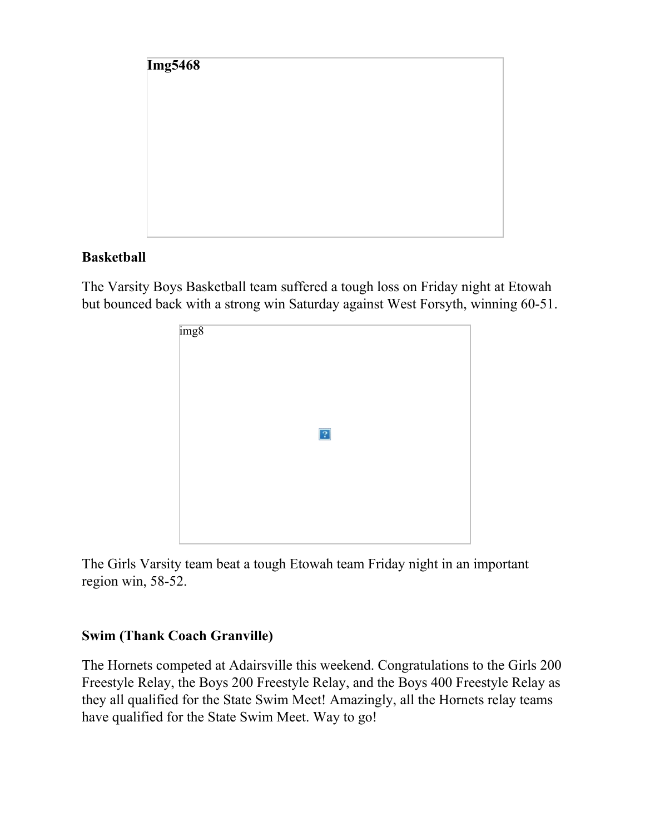

#### **Basketball**

The Varsity Boys Basketball team suffered a tough loss on Friday night at Etowah but bounced back with a strong win Saturday against West Forsyth, winning 60-51.



The Girls Varsity team beat a tough Etowah team Friday night in an important region win, 58-52.

#### **Swim (Thank Coach Granville)**

The Hornets competed at Adairsville this weekend. Congratulations to the Girls 200 Freestyle Relay, the Boys 200 Freestyle Relay, and the Boys 400 Freestyle Relay as they all qualified for the State Swim Meet! Amazingly, all the Hornets relay teams have qualified for the State Swim Meet. Way to go!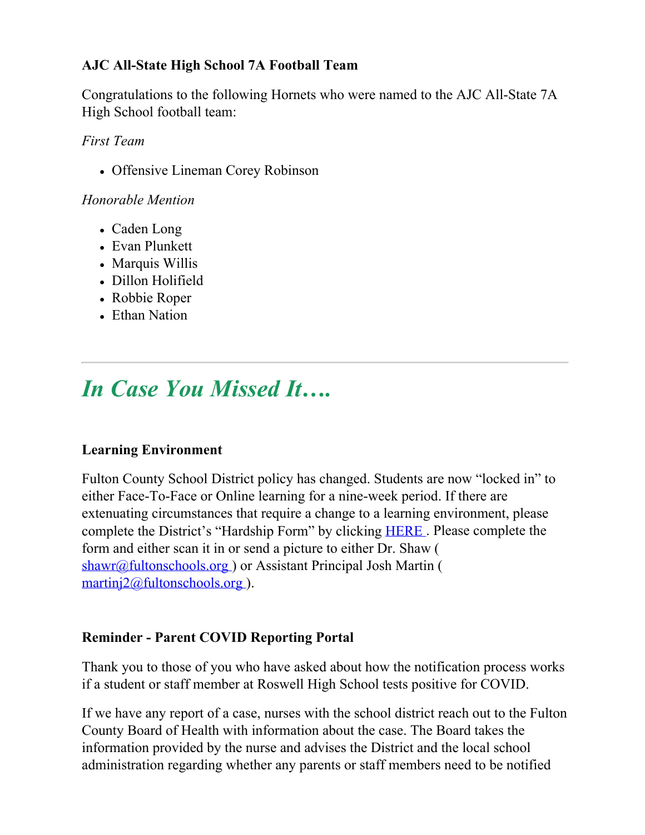#### **AJC All-State High School 7A Football Team**

Congratulations to the following Hornets who were named to the AJC All-State 7A High School football team:

*First Team*

Offensive Lineman Corey Robinson

*Honorable Mention*

- Caden Long
- Evan Plunkett
- Marquis Willis
- Dillon Holifield
- Robbie Roper
- Ethan Nation

# *In Case You Missed It….*

#### **Learning Environment**

Fulton County School District policy has changed. Students are now "locked in" to either Face-To-Face or Online learning for a nine-week period. If there are extenuating circumstances that require a change to a learning environment, please complete the District's "Hardship Form" by clicking [HERE](https://www.fultonschools.org/cms/lib/GA50000114/Centricity/ModuleInstance/34745/Learning%20Environment%20Hardship.pdf) . Please complete the form and either scan it in or send a picture to either Dr. Shaw ( [shawr@fultonschools.org](mailto:shawr@fultonschools.org)) or Assistant Principal Josh Martin ( [martinj2@fultonschools.org](mailto:martinj2@fultonschools.org) ).

#### **Reminder - Parent COVID Reporting Portal**

Thank you to those of you who have asked about how the notification process works if a student or staff member at Roswell High School tests positive for COVID.

If we have any report of a case, nurses with the school district reach out to the Fulton County Board of Health with information about the case. The Board takes the information provided by the nurse and advises the District and the local school administration regarding whether any parents or staff members need to be notified